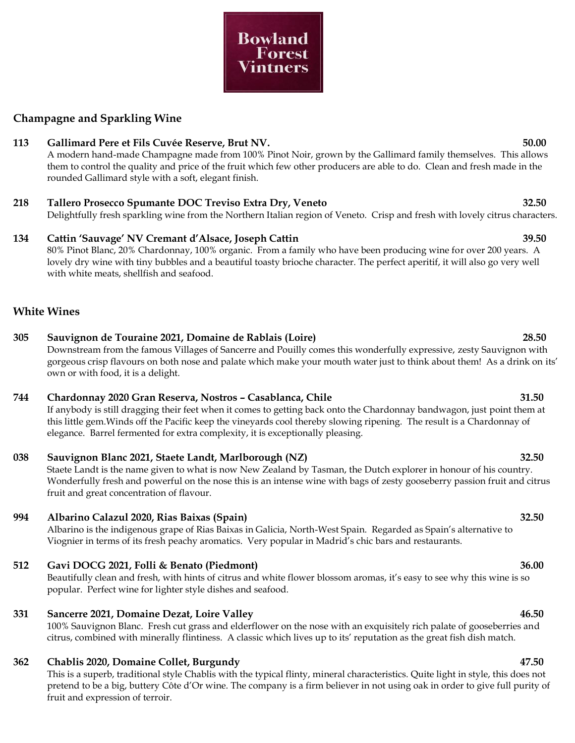### **Champagne and Sparkling Wine**

### **113 Gallimard Pere et Fils Cuvée Reserve, Brut NV. 50.00**

A modern hand-made Champagne made from 100% Pinot Noir, grown by the Gallimard family themselves. This allows them to control the quality and price of the fruit which few other producers are able to do. Clean and fresh made in the rounded Gallimard style with a soft, elegant finish.

# **218 Tallero Prosecco Spumante DOC Treviso Extra Dry, Veneto 32.50**

Delightfully fresh sparkling wine from the Northern Italian region of Veneto. Crisp and fresh with lovely citrus characters.

# **134 Cattin 'Sauvage' NV Cremant d'Alsace, Joseph Cattin 39.50**

80% Pinot Blanc, 20% Chardonnay, 100% organic. From a family who have been producing wine for over 200 years. A lovely dry wine with tiny bubbles and a beautiful toasty brioche character. The perfect aperitif, it will also go very well with white meats, shellfish and seafood.

### **White Wines**

# **305 Sauvignon de Touraine 2021, Domaine de Rablais (Loire) 28.50**

Downstream from the famous Villages of Sancerre and Pouilly comes this wonderfully expressive, zesty Sauvignon with gorgeous crisp flavours on both nose and palate which make your mouth water just to think about them! As a drink on its' own or with food, it is a delight.

### **744 Chardonnay 2020 Gran Reserva, Nostros – Casablanca, Chile 31.50**

If anybody is still dragging their feet when it comes to getting back onto the Chardonnay bandwagon, just point them at this little gem.Winds off the Pacific keep the vineyards cool thereby slowing ripening. The result is a Chardonnay of elegance. Barrel fermented for extra complexity, it is exceptionally pleasing.

### **038 Sauvignon Blanc 2021, Staete Landt, Marlborough (NZ) 32.50**

Staete Landt is the name given to what is now New Zealand by Tasman, the Dutch explorer in honour of his country. Wonderfully fresh and powerful on the nose this is an intense wine with bags of zesty gooseberry passion fruit and citrus fruit and great concentration of flavour.

### **994 Albarino Calazul 2020, Rias Baixas (Spain) 32.50**

Albarino is the indigenous grape of Rias Baixas in Galicia, North-West Spain. Regarded as Spain's alternative to Viognier in terms of its fresh peachy aromatics. Very popular in Madrid's chic bars and restaurants.

### **512 Gavi DOCG 2021, Folli & Benato (Piedmont) 36.00**

Beautifully clean and fresh, with hints of citrus and white flower blossom aromas, it's easy to see why this wine is so popular. Perfect wine for lighter style dishes and seafood.

### **331 Sancerre 2021, Domaine Dezat, Loire Valley 46.50**

100% Sauvignon Blanc. Fresh cut grass and elderflower on the nose with an exquisitely rich palate of gooseberries and citrus, combined with minerally flintiness. A classic which lives up to its' reputation as the great fish dish match.

### **362 Chablis 2020, Domaine Collet, Burgundy 47.50**

This is a superb, traditional style Chablis with the typical flinty, mineral characteristics. Quite light in style, this does not pretend to be a big, buttery Côte d'Or wine. The company is a firm believer in not using oak in order to give full purity of fruit and expression of terroir.